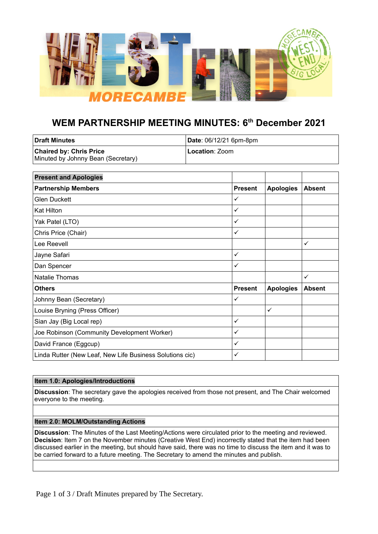

# **WEM PARTNERSHIP MEETING MINUTES: 6th December 2021**

| l Draft Minutes                    | Date: 06/12/21 6pm-8pm |  |
|------------------------------------|------------------------|--|
| <b>Chaired by: Chris Price</b>     | <b>Location: Zoom</b>  |  |
| Minuted by Johnny Bean (Secretary) |                        |  |

| <b>Present and Apologies</b>                             |                |                  |               |
|----------------------------------------------------------|----------------|------------------|---------------|
| <b>Partnership Members</b>                               | <b>Present</b> | <b>Apologies</b> | <b>Absent</b> |
| Glen Duckett                                             | ✓              |                  |               |
| <b>Kat Hilton</b>                                        | $\checkmark$   |                  |               |
| Yak Patel (LTO)                                          | $\checkmark$   |                  |               |
| Chris Price (Chair)                                      | $\checkmark$   |                  |               |
| Lee Reevell                                              |                |                  | ✓             |
| Jayne Safari                                             | ✓              |                  |               |
| Dan Spencer                                              | $\checkmark$   |                  |               |
| Natalie Thomas                                           |                |                  | ✓             |
| <b>Others</b>                                            | <b>Present</b> | <b>Apologies</b> | <b>Absent</b> |
| Johnny Bean (Secretary)                                  | ✓              |                  |               |
| Louise Bryning (Press Officer)                           |                | $\checkmark$     |               |
| Sian Jay (Big Local rep)                                 | ✓              |                  |               |
| Joe Robinson (Community Development Worker)              | $\checkmark$   |                  |               |
| David France (Eggcup)                                    | ✓              |                  |               |
| Linda Rutter (New Leaf, New Life Business Solutions cic) | ✓              |                  |               |

# **Item 1.0: Apologies/Introductions**

**Discussion**: The secretary gave the apologies received from those not present, and The Chair welcomed everyone to the meeting.

# **Item 2.0: MOLM/Outstanding Actions**

**Discussion**: The Minutes of the Last Meeting/Actions were circulated prior to the meeting and reviewed. **Decision**: Item 7 on the November minutes (Creative West End) incorrectly stated that the item had been discussed earlier in the meeting, but should have said, there was no time to discuss the item and it was to be carried forward to a future meeting. The Secretary to amend the minutes and publish.

Page 1 of 3 / Draft Minutes prepared by The Secretary.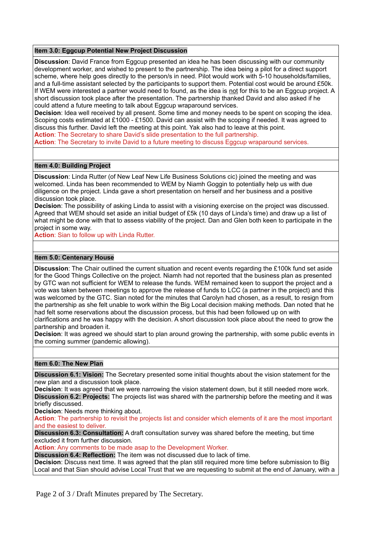# **Item 3.0: Eggcup Potential New Project Discussion**

**Discussion**: David France from Eggcup presented an idea he has been discussing with our community development worker, and wished to present to the partnership. The idea being a pilot for a direct support scheme, where help goes directly to the person/s in need. Pilot would work with 5-10 households/families, and a full-time assistant selected by the participants to support them. Potential cost would be around £50k. If WEM were interested a partner would need to found, as the idea is not for this to be an Eggcup project. A short discussion took place after the presentation. The partnership thanked David and also asked if he could attend a future meeting to talk about Eggcup wraparound services.

**Decision**: Idea well received by all present. Some time and money needs to be spent on scoping the idea. Scoping costs estimated at £1000 - £1500. David can assist with the scoping if needed. It was agreed to discuss this further. David left the meeting at this point. Yak also had to leave at this point.

**Action**: The Secretary to share David's slide presentation to the full partnership.

Action: The Secretary to invite David to a future meeting to discuss Eggcup wraparound services.

# **Item 4.0: Building Project**

**Discussion**: Linda Rutter (of New Leaf New Life Business Solutions cic) joined the meeting and was welcomed. Linda has been recommended to WEM by Niamh Goggin to potentially help us with due diligence on the project. Linda gave a short presentation on herself and her business and a positive discussion took place.

**Decision**: The possibility of asking Linda to assist with a visioning exercise on the project was discussed. Agreed that WEM should set aside an initial budget of £5k (10 days of Linda's time) and draw up a list of what might be done with that to assess viability of the project. Dan and Glen both keen to participate in the project in some way.

**Action**: Sian to follow up with Linda Rutter.

# **Item 5.0: Centenary House**

**Discussion**: The Chair outlined the current situation and recent events regarding the £100k fund set aside for the Good Things Collective on the project. Niamh had not reported that the business plan as presented by GTC wan not sufficient for WEM to release the funds. WEM remained keen to support the project and a vote was taken between meetings to approve the release of funds to LCC (a partner in the project) and this was welcomed by the GTC. Sian noted for the minutes that Carolyn had chosen, as a result, to resign from the partnership as she felt unable to work within the Big Local decision making methods. Dan noted that he had felt some reservations about the discussion process, but this had been followed up on with

clarifications and he was happy with the decision. A short discussion took place about the need to grow the partnership and broaden it.

**Decision**: It was agreed we should start to plan around growing the partnership, with some public events in the coming summer (pandemic allowing).

#### **Item 6.0: The New Plan**

**Discussion 6.1: Vision:** The Secretary presented some initial thoughts about the vision statement for the new plan and a discussion took place.

**Decision**: It was agreed that we were narrowing the vision statement down, but it still needed more work. **Discussion 6.2: Projects:** The projects list was shared with the partnership before the meeting and it was briefly discussed.

**Decision**: Needs more thinking about.

**Action**: The partnership to revisit the projects list and consider which elements of it are the most important and the easiest to deliver.

**Discussion 6.3: Consultation:** A draft consultation survey was shared before the meeting, but time excluded it from further discussion.

**Action**: Any comments to be made asap to the Development Worker.

**Discussion 6.4: Reflection:** The item was not discussed due to lack of time.

**Decision:** Discuss next time. It was agreed that the plan still required more time before submission to Big Local and that Sian should advise Local Trust that we are requesting to submit at the end of January, with a

Page 2 of 3 / Draft Minutes prepared by The Secretary.